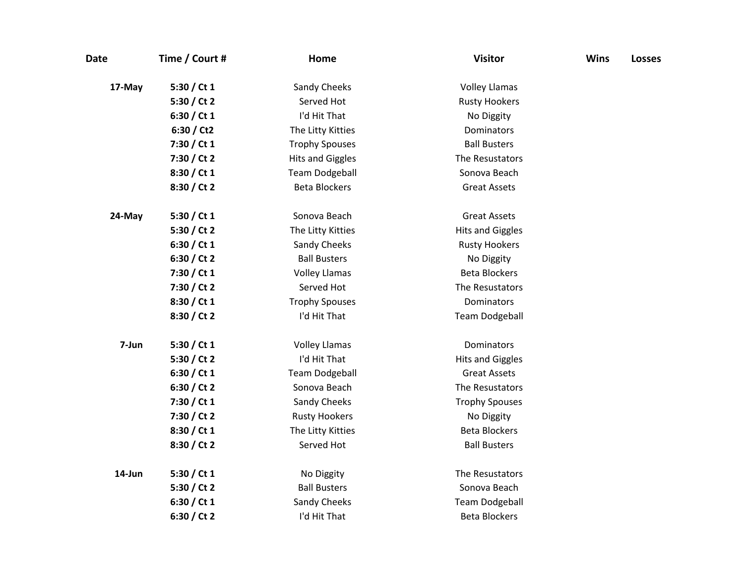| <b>Date</b> | Time / Court # | Home                    | <b>Visitor</b>          | <b>Wins</b> | <b>Losses</b> |
|-------------|----------------|-------------------------|-------------------------|-------------|---------------|
| 17-May      | 5:30 / Ct 1    | Sandy Cheeks            | <b>Volley Llamas</b>    |             |               |
|             | 5:30 / Ct 2    | Served Hot              | <b>Rusty Hookers</b>    |             |               |
|             | 6:30 / Ct 1    | I'd Hit That            | No Diggity              |             |               |
|             | 6:30 / Ct2     | The Litty Kitties       | Dominators              |             |               |
|             | 7:30 / Ct 1    | <b>Trophy Spouses</b>   | <b>Ball Busters</b>     |             |               |
|             | 7:30 / Ct 2    | <b>Hits and Giggles</b> | The Resustators         |             |               |
|             | 8:30 / Ct 1    | <b>Team Dodgeball</b>   | Sonova Beach            |             |               |
|             | 8:30 / Ct 2    | <b>Beta Blockers</b>    | <b>Great Assets</b>     |             |               |
| 24-May      | 5:30 / Ct $1$  | Sonova Beach            | <b>Great Assets</b>     |             |               |
|             | 5:30 / Ct 2    | The Litty Kitties       | <b>Hits and Giggles</b> |             |               |
|             | 6:30 / Ct 1    | Sandy Cheeks            | <b>Rusty Hookers</b>    |             |               |
|             | 6:30 / Ct 2    | <b>Ball Busters</b>     | No Diggity              |             |               |
|             | 7:30 / Ct 1    | <b>Volley Llamas</b>    | <b>Beta Blockers</b>    |             |               |
|             | 7:30 / Ct 2    | Served Hot              | The Resustators         |             |               |
|             | 8:30 / Ct 1    | <b>Trophy Spouses</b>   | Dominators              |             |               |
|             | 8:30 / Ct 2    | I'd Hit That            | <b>Team Dodgeball</b>   |             |               |
| 7-Jun       | 5:30 / Ct 1    | <b>Volley Llamas</b>    | Dominators              |             |               |
|             | 5:30 / Ct 2    | I'd Hit That            | <b>Hits and Giggles</b> |             |               |
|             | 6:30 / Ct 1    | <b>Team Dodgeball</b>   | <b>Great Assets</b>     |             |               |
|             | 6:30 / Ct 2    | Sonova Beach            | The Resustators         |             |               |
|             | 7:30 / Ct 1    | Sandy Cheeks            | <b>Trophy Spouses</b>   |             |               |
|             | 7:30 / Ct 2    | <b>Rusty Hookers</b>    | No Diggity              |             |               |
|             | 8:30 / Ct 1    | The Litty Kitties       | <b>Beta Blockers</b>    |             |               |
|             | 8:30 / Ct 2    | Served Hot              | <b>Ball Busters</b>     |             |               |
| 14-Jun      | 5:30 / Ct $1$  | No Diggity              | The Resustators         |             |               |
|             | 5:30 / Ct 2    | <b>Ball Busters</b>     | Sonova Beach            |             |               |
|             | 6:30 / Ct 1    | Sandy Cheeks            | <b>Team Dodgeball</b>   |             |               |
|             | 6:30 / Ct 2    | I'd Hit That            | <b>Beta Blockers</b>    |             |               |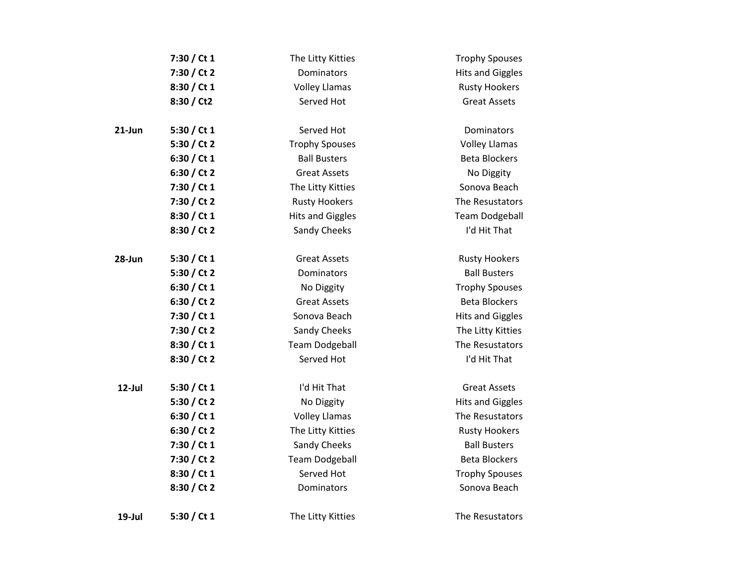|           | 7:30 / Ct 1   | The Litty Kitties       | <b>Trophy Spouses</b>   |
|-----------|---------------|-------------------------|-------------------------|
|           | 7:30 / Ct 2   | Dominators              | <b>Hits and Giggles</b> |
|           | 8:30 / Ct 1   | <b>Volley Llamas</b>    | <b>Rusty Hookers</b>    |
|           | 8:30 / Ct2    | Served Hot              | <b>Great Assets</b>     |
| $21$ -Jun | 5:30 / Ct $1$ | Served Hot              | <b>Dominators</b>       |
|           | 5:30 / Ct 2   | <b>Trophy Spouses</b>   | <b>Volley Llamas</b>    |
|           | 6:30 / Ct 1   | <b>Ball Busters</b>     | <b>Beta Blockers</b>    |
|           | 6:30 / Ct 2   | <b>Great Assets</b>     | No Diggity              |
|           | 7:30 / Ct 1   | The Litty Kitties       | Sonova Beach            |
|           | 7:30 / Ct 2   | <b>Rusty Hookers</b>    | The Resustators         |
|           | 8:30 / Ct 1   | <b>Hits and Giggles</b> | <b>Team Dodgeball</b>   |
|           | 8:30 / Ct 2   | Sandy Cheeks            | I'd Hit That            |
| 28-Jun    | 5:30 / Ct $1$ | <b>Great Assets</b>     | <b>Rusty Hookers</b>    |
|           | 5:30 / Ct 2   | Dominators              | <b>Ball Busters</b>     |
|           | 6:30 / Ct 1   | No Diggity              | <b>Trophy Spouses</b>   |
|           | 6:30 / Ct 2   | <b>Great Assets</b>     | <b>Beta Blockers</b>    |
|           | 7:30 / Ct 1   | Sonova Beach            | <b>Hits and Giggles</b> |
|           | 7:30 / Ct 2   | Sandy Cheeks            | The Litty Kitties       |
|           | 8:30 / Ct 1   | <b>Team Dodgeball</b>   | The Resustators         |
|           | 8:30 / Ct 2   | Served Hot              | I'd Hit That            |
| 12-Jul    | 5:30 / Ct $1$ | I'd Hit That            | <b>Great Assets</b>     |
|           | 5:30 / Ct 2   | No Diggity              | <b>Hits and Giggles</b> |
|           | 6:30 / Ct 1   | <b>Volley Llamas</b>    | The Resustators         |
|           | 6:30 / Ct 2   | The Litty Kitties       | <b>Rusty Hookers</b>    |
|           | 7:30 / Ct 1   | Sandy Cheeks            | <b>Ball Busters</b>     |
|           | 7:30 / Ct 2   | <b>Team Dodgeball</b>   | <b>Beta Blockers</b>    |
|           | 8:30 / Ct 1   | Served Hot              | <b>Trophy Spouses</b>   |
|           | 8:30 / Ct 2   | Dominators              | Sonova Beach            |
| 19-Jul    | 5:30 / Ct 1   | The Litty Kitties       | The Resustators         |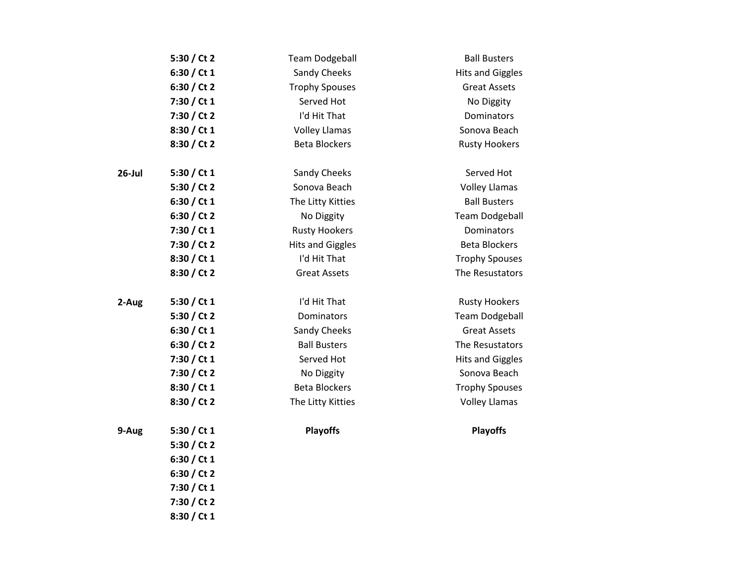|        | 5:30 / Ct 2   | <b>Team Dodgeball</b>   | <b>Ball Busters</b>     |
|--------|---------------|-------------------------|-------------------------|
|        | 6:30 / Ct $1$ | Sandy Cheeks            | <b>Hits and Giggles</b> |
|        | 6:30 / Ct 2   | <b>Trophy Spouses</b>   | <b>Great Assets</b>     |
|        | 7:30 / Ct 1   | Served Hot              | No Diggity              |
|        | 7:30 / Ct 2   | I'd Hit That            | Dominators              |
|        | 8:30 / Ct 1   | <b>Volley Llamas</b>    | Sonova Beach            |
|        | 8:30 / Ct 2   | <b>Beta Blockers</b>    | <b>Rusty Hookers</b>    |
| 26-Jul | 5:30 / Ct 1   | Sandy Cheeks            | Served Hot              |
|        | 5:30 / Ct 2   | Sonova Beach            | <b>Volley Llamas</b>    |
|        | 6:30 / Ct 1   | The Litty Kitties       | <b>Ball Busters</b>     |
|        | 6:30 / Ct 2   | No Diggity              | <b>Team Dodgeball</b>   |
|        | 7:30 / Ct 1   | <b>Rusty Hookers</b>    | Dominators              |
|        | 7:30 / Ct 2   | <b>Hits and Giggles</b> | <b>Beta Blockers</b>    |
|        | 8:30 / Ct 1   | I'd Hit That            | <b>Trophy Spouses</b>   |
|        | 8:30 / Ct 2   | <b>Great Assets</b>     | The Resustators         |
| 2-Aug  | 5:30 / Ct $1$ | I'd Hit That            | <b>Rusty Hookers</b>    |
|        | 5:30 / Ct 2   | Dominators              | <b>Team Dodgeball</b>   |
|        | 6:30 / Ct 1   | Sandy Cheeks            | <b>Great Assets</b>     |
|        | 6:30 / Ct 2   | <b>Ball Busters</b>     | The Resustators         |
|        | 7:30 / Ct 1   | Served Hot              | <b>Hits and Giggles</b> |
|        | 7:30 / Ct 2   | No Diggity              | Sonova Beach            |
|        | 8:30 / Ct 1   | <b>Beta Blockers</b>    | <b>Trophy Spouses</b>   |
|        | 8:30 / Ct 2   | The Litty Kitties       | <b>Volley Llamas</b>    |
| 9-Aug  | 5:30 / Ct $1$ | <b>Playoffs</b>         | <b>Playoffs</b>         |
|        | 5:30 / Ct 2   |                         |                         |
|        | 6:30 / Ct $1$ |                         |                         |
|        | 6:30 / Ct 2   |                         |                         |
|        | 7:30 / Ct 1   |                         |                         |
|        | 7:30 / Ct 2   |                         |                         |
|        | 8:30 / Ct 1   |                         |                         |